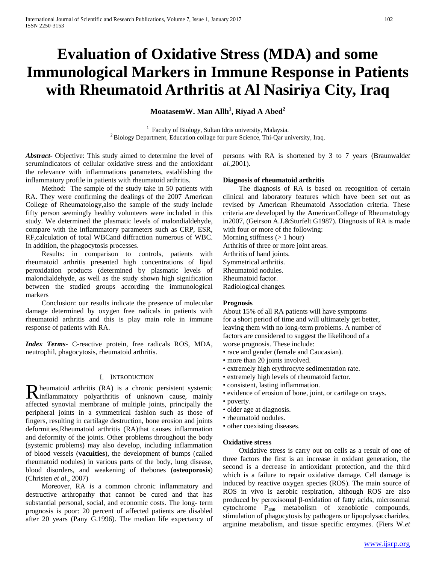# **Evaluation of Oxidative Stress (MDA) and some Immunological Markers in Immune Response in Patients with Rheumatoid Arthritis at Al Nasiriya City, Iraq**

**MoatasemW. Man Allh<sup>1</sup> , Riyad A Abed<sup>2</sup>**

 $<sup>1</sup>$  Faculty of Biology, Sultan Idris university, Malaysia.</sup>  $<sup>2</sup>$  Biology, Department, Education collage for pure Science, Thi-Qar university, Iraq.</sup>

*Abstract***-** Objective: This study aimed to determine the level of serumindicators of cellular oxidative stress and the antioxidant the relevance with inflammations parameters, establishing the inflammatory profile in patients with rheumatoid arthritis.

 Method: The sample of the study take in 50 patients with RA. They were confirming the dealings of the 2007 American College of Rheumatology,also the sample of the study include fifty person seemingly healthy volunteers were included in this study. We determined the plasmatic levels of malondialdehyde, compare with the inflammatory parameters such as CRP, ESR, RF,calculation of total WBCand diffraction numerous of WBC. In addition, the phagocytosis processes.

 Results: in comparison to controls, patients with rheumatoid arthritis presented high concentrations of lipid peroxidation products (determined by plasmatic levels of malondialdehyde, as well as the study shown high signification between the studied groups according the immunological markers

 Conclusion: our results indicate the presence of molecular damage determined by oxygen free radicals in patients with rheumatoid arthritis and this is play main role in immune response of patients with RA.

*Index Terms*- C-reactive protein, free radicals ROS, MDA, neutrophil, phagocytosis, rheumatoid arthritis.

# I. INTRODUCTION

heumatoid arthritis (RA) is a chronic persistent systemic R heumatoid arthritis (RA) is a chronic persistent systemic<br> **R** inflammatory polyarthritis of unknown cause, mainly affected synovial membrane of multiple joints, principally the peripheral joints in a symmetrical fashion such as those of fingers, resulting in cartilage destruction, bone erosion and joints deformities,Rheumatoid arthritis (RA)that causes inflammation and deformity of the joints. Other problems throughout the body (systemic problems) may also develop, including inflammation of blood vessels (**vacuities**), the development of bumps (called rheumatoid nodules) in various parts of the body, lung disease, blood disorders, and weakening of thebones (**osteoporosis**) (Christen *et al*., 2007)

 Moreover, RA is a common chronic inflammatory and destructive arthropathy that cannot be cured and that has substantial personal, social, and economic costs. The long- term prognosis is poor: 20 percent of affected patients are disabled after 20 years (Pany G.1996). The median life expectancy of persons with RA is shortened by 3 to 7 years (Braunwald*et al.,*2001).

#### **Diagnosis of rheumatoid arthritis**

 The diagnosis of RA is based on recognition of certain clinical and laboratory features which have been set out as revised by American Rheumatoid Association criteria. These criteria are developed by the AmericanCollege of Rheumatology in2007, (Geirson A.J.&Sturfelt G1987). Diagnosis of RA is made with four or more of the following:

Morning stiffness  $(> 1$  hour) Arthritis of three or more joint areas. Arthritis of hand joints. Symmetrical arthritis. Rheumatoid nodules. Rheumatoid factor.

Radiological changes.

# **Prognosis**

About 15% of all RA patients will have symptoms for a short period of time and will ultimately get better, leaving them with no long-term problems. A number of factors are considered to suggest the likelihood of a worse prognosis. These include:

- race and gender (female and Caucasian).
- more than 20 joints involved.
- extremely high erythrocyte sedimentation rate.
- extremely high levels of rheumatoid factor.
- consistent, lasting inflammation.
- evidence of erosion of bone, joint, or cartilage on xrays.
- poverty.
- older age at diagnosis.
- rheumatoid nodules.
- other coexisting diseases.

#### **Oxidative stress**

 Oxidative stress is carry out on cells as a result of one of three factors the first is an increase in oxidant generation, the second is a decrease in antioxidant protection, and the third which is a failure to repair oxidative damage. Cell damage is induced by reactive oxygen species (ROS). The main source of ROS in vivo is aerobic respiration, although ROS are also produced by peroxisomal β-oxidation of fatty acids, microsomal cytochrome P**<sup>450</sup>** metabolism of xenobiotic compounds, stimulation of phagocytosis by pathogens or lipopolysaccharides, arginine metabolism, and tissue specific enzymes. (Fiers W.*et*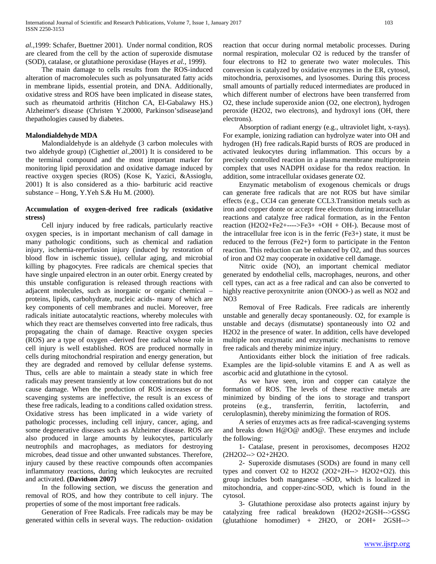*al.,*1999: Schafer, Buettner 2001). Under normal condition, ROS are cleared from the cell by the action of superoxide dismutase (SOD), catalase, or glutathione peroxidase (Hayes *et al.,* 1999).

 The main damage to cells results from the ROS-induced alteration of macromolecules such as polyunsaturated fatty acids in membrane lipids, essential protein, and DNA. Additionally, oxidative stress and ROS have been implicated in disease states, such as rheumatoid arthritis (Hitchon CA, El-Gabalawy HS.) Alzheimer's disease (Christen Y.20000, Parkinson'sdisease)and thepathologies caused by diabetes.

### **Malondialdehyde MDA**

 Malondialdehyde is an aldehyde (3 carbon molecules with two aldehyde group) (Cighetti*et al*.*,*2001) It is considered to be the terminal compound and the most important marker for monitoring lipid peroxidation and oxidative damage induced by reactive oxygen species (ROS) (Kose K, Yazici, &Assioglu, 2001) It is also considered as a thio- barbituric acid reactive substance – Hong, Y.Yeh S.& Hu M. (2000).

### **Accumulation of oxygen-derived free radicals (oxidative stress)**

 Cell injury induced by free radicals, particularly reactive oxygen species, is in important mechanism of call damage in many pathologic conditions, such as chemical and radiation injury, ischemia-reperfusion injury (induced by restoration of blood flow in ischemic tissue), cellular aging, and microbial killing by phagocytes. Free radicals are chemical species that have single unpaired electron in an outer orbit. Energy created by this unstable configuration is released through reactions with adjacent molecules, such as inorganic or organic chemical – proteins, lipids, carbohydrate, nucleic acids- many of which are key components of cell membranes and nuclei. Moreover, free radicals initiate autocatalytic reactions, whereby molecules with which they react are themselves converted into free radicals, thus propagating the chain of damage. Reactive oxygen species (ROS) are a type of oxygen –derived free radical whose role in cell injury is well established. ROS are produced normally in cells during mitochondrial respiration and energy generation, but they are degraded and removed by cellular defense systems. Thus, cells are able to maintain a steady state in which free radicals may present transiently at low concentrations but do not cause damage. When the production of ROS increases or the scavenging systems are ineffective, the result is an excess of these free radicals, leading to a conditions called oxidation stress. Oxidative stress has been implicated in a wide variety of pathologic processes, including cell injury, cancer, aging, and some degenerative diseases such as Alzheimer disease. ROS are also produced in large amounts by leukocytes, particularly neutrophils and macrophages, as mediators for destroying microbes, dead tissue and other unwanted substances. Therefore, injury caused by these reactive compounds often accompanies inflammatory reactions, during which leukocytes are recruited and activated. **(Davidson 2007)**

 In the following section, we discuss the generation and removal of ROS, and how they contribute to cell injury. The properties of some of the most important free radicals.

 Generation of Free Radicals. Free radicals may be may be generated within cells in several ways. The reduction- oxidation reaction that occur during normal metabolic processes. During normal respiration, molecular O2 is reduced by the transfer of four electrons to H2 to generate two water molecules. This conversion is catalyzed by oxidative enzymes in the ER, cytosol, mitochondria, peroxisomes, and lysosomes. During this process small amounts of partially reduced intermediates are produced in which different number of electrons have been transferred from O2, these include superoxide anion (O2, one electron), hydrogen peroxide (H2O2, two electrons), and hydroxyl ions (OH, there electrons).

 Absorption of radiant energy (e.g., ultraviolet light, x-rays). For example, ionizing radiation can hydrolyze water into OH and hydrogen (H) free radicals.Rapid bursts of ROS are produced in activated leukocytes during inflammation. This occurs by a precisely controlled reaction in a plasma membrane multiprotein complex that uses NADPH oxidase for tha redox reaction. In addition, some intracellular oxidases generate O2.

 Enzymatic metabolism of exogenous chemicals or drugs can generate free radicals that are not ROS but have similar effects (e.g., CCI4 can generate CCL3.Transition metals such as iron and copper donte or accept free electrons during intracellular reactions and catalyze free radical formation, as in the Fenton reaction  $(H2O2 + Fe2 + \cdots)Fe3 + OH + OH$ . Because most of the intracellular free icon is in the ferric (Fe3+) state, it must be reduced to the ferrous (Fe2+) form to participate in the Fenton reaction. This reduction can be enhanced by O2, and thus sources of iron and O2 may cooperate in oxidative cell damage.

 Nitric oxide (NO), an important chemical mediator generated by endothelial cells, macrophages, neurons, and other cell types, can act as a free radical and can also be converted to highly reactive peroxynitrite anion (ONOO-) as well as NO2 and NO3

 Removal of Free Radicals. Free radicals are inherently unstable and generally decay spontaneously. O2, for example is unstable and decays (dismutatse) spontaneously into O2 and H2O2 in the presence of water. In addition, cells have developed multiple non enzymatic and enzymatic mechanisms to remove free radicals and thereby minimize injury.

 Antioxidants either block the initiation of free radicals. Examples are the lipid-soluble vitamins E and A as well as ascorbic acid and glutathione in the cytosol.

 As we have seen, iron and copper can catalyze the formation of ROS. The levels of these reactive metals are minimized by binding of the ions to storage and transport proteins (e.g., transferrin, ferritin, lactoferrin, and ceruloplasmin), thereby minimizing the formation of ROS.

 A series of enzymes acts as free radical-scavenging systems and breaks down H@O@ andO@. These enzymes and include the following:

 1- Catalase, present in peroxisomes, decomposes H2O2 (2H2O2--> O2+2H2O.

 2- Superoxide dismutases (SODs) are found in many cell types and convert O2 to H2O2  $(2O2+2H\rightarrow H2O2+O2)$ . this group includes both manganese –SOD, which is localized in mitochondria, and copper-zinc-SOD, which is found in the cytosol.

 3- Glutathione peroxidase also protects against injury by catalyzing free radical breakdown (H2O2+2GSH-->GSSG (glutathione homodimer) + 2H2O, or 2OH+ 2GSH-->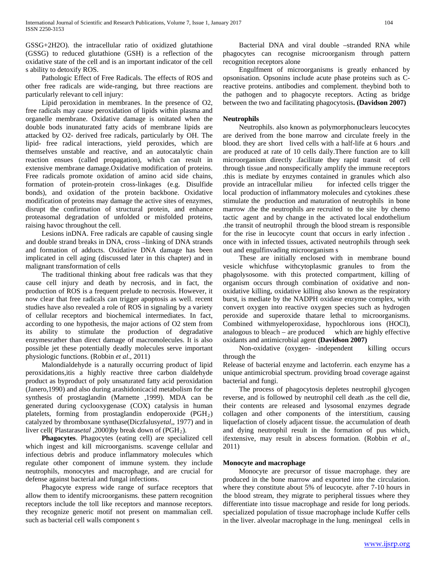GSSG+2H2O). the intracellular ratio of oxidized glutathione (GSSG) to reduced glutathione (GSH) is a reflection of the oxidative state of the cell and is an important indicator of the cell s ability to detoxify ROS.

 Pathologic Effect of Free Radicals. The effects of ROS and other free radicals are wide-ranging, but three reactions are particularly relevant to cell injury:

 Lipid peroxidation in membranes. In the presence of O2, free radicals may cause peroxidation of lipids within plasma and organelle membrane. Oxidative damage is onitated when the double bods inunaturated fatty acids of membrane lipids are attacked by O2- derived free radicals, particularly by OH. The lipid- free radical interactions, yield peroxides, which are themselves unstable and reactive, and an autocatalytic chain reaction ensues (called propagation), which can result in extensive membrane damage.Oxidative modification of proteins. Free radicals promote oxidation of amino acid side chains, formation of protein-protein cross-linkages (e.g. Disulfide bonds), and oxidation of the protein backbone. Oxidative modification of proteins may damage the active sites of enzymes, disrupt the confirmation of structural protein, and enhance proteasomal degradation of unfolded or misfolded proteins, raising havoc throughout the cell.

 Lesions inDNA. Free radicals are capable of causing single and double strand breaks in DNA, cross –linking of DNA strands and formation of adducts. Oxidative DNA damage has been implicated in cell aging (discussed later in this chapter) and in malignant transformation of cells

 The traditional thinking about free radicals was that they cause cell injury and death by necrosis, and in fact, the production of ROS is a frequent prelude to necrosis. However, it now clear that free radicals can trigger apoptosis as well. recent studies have also revealed a role of ROS in signaling by a variety of cellular receptors and biochemical intermediates. In fact, according to one hypothesis, the major actions of O2 stem from its ability to stimulate the production of degradative enzymesrather than direct damage of macromolecules. It is also possible jet these potentially deadly molecules serve important physiologic functions. (Robbin *et al*., 2011)

 Malondialdehyde is a naturally occurring product of lipid peroxidations,itis a highly reactive three carbon dialdehyde product as byproduct of poly unsaturated fatty acid peroxidation (Janero,1990) and also during arashidonicacid metabolism for the synthesis of prostaglandin (Marnette ,1999). MDA can be generated during cyclooxygenase (COX) catalysis in human platelets, forming from prostaglandin endoperoxide (PGH<sub>2</sub>) catalyzed by thromboxane synthase(Diczfalusy*etal*,, 1977) and in liver cell( Plastaras*etal* ,2000)by break down of (PGH<sub>2</sub>).

 **Phagocytes**. Phagocytes (eating cell) are specialized cell which ingest and kill microorganisms. scavenge cellular and infectious debris and produce inflammatory molecules which regulate other component of immune system. they include neutrophils, monocytes and macrophage, and are crucial for defense against bacterial and fungal infections.

 Phagocyte express wide range of surface receptors that allow them to identify microorganisms. these pattern recognition receptors include the toll like receptors and mannose receptors. they recognize generic motif not present on mammalian cell. such as bacterial cell walls component s

 Bacterial DNA and viral double –stranded RNA while phagocytes can recognise microorganism through pattern recognition receptors alone

 Engulfment of microorganisms is greatly enhanced by opsonisation. Opsonins include acute phase proteins such as Creactive proteins. antibodies and complement. theybind both to the pathogen and to phagocyte receptors. Acting as bridge between the two and facilitating phagocytosis**. (Davidson 2007)**

# **Neutrophils**

 Neutrophils. also known as polymorphonuclears leucocytes are derived from the bone marrow and circulate freely in the blood. they are short lived cells with a half-life at 6 hours .and are produced at rate of 10 cells daily.There function are to kill microorganism directly .facilitate they rapid transit of cell through tissue ,and nonspecifically amplify the immune receptors .this is mediate by enzymes contained in granules which also provide an intracellular milieu for infected cells trigger the local production of inflammatory molecules and cytokines .these stimulate the production and maturation of neutrophils in bone marrow .the the neutrophils are recruited to the site by chemo tactic agent and by change in the activated local endothelium .the transit of neutrophil through the blood stream is responsible for the rise in leucocyte count that occurs in early infection . once with in infected tissues, activated neutrophils through seek out and engulfinvading microorganism s

 These are initially enclosed with in membrane bound vesicle whichfuse withcytoplasmic granules to from the phagolysosome. with this protected compartment, killing of organism occurs through combination of oxidative and nonoxidative killing, oxidative killing also known as the respiratory burst, is mediate by the NADPH oxidase enzyme complex, with convert oxygen into reactive oxygen species such as hydrogen peroxide and superoxide thatare lethal to microorganisms. Combined withmyeloperoxidase, hypochlorous ions (HOCl), analogous to bleach – are produced which are highly effective oxidants and antimicrobial agent **(Davidson 2007)**

 Non-oxidative (oxygen- -independent killing occurs through the

Release of bacterial enzyme and lactoferrin. each enzyme has a unique antimicrobial spectrum. providing broad coverage against bacterial and fungi.

 The process of phagocytosis depletes neutrophil glycogen reverse, and is followed by neutrophil cell death .as the cell die, their contents are released and lysosomal enzymes degrade collagen and other components of the interstitium, causing liquefaction of closely adjacent tissue. the accumulation of death and dying neutrophil result in the formation of pus which, ifextensive, may result in abscess formation. (Robbin *et al*., 2011)

# **Monocyte and macrophage**

 Monocyte are precursor of tissue macrophage. they are produced in the bone marrow and exported into the circulation. where they constitute about 5% of leucocyte. after 7-10 hours in the blood stream, they migrate to peripheral tissues where they differentiate into tissue macrophage and reside for long periods. specialized population of tissue macrophage include Kuffer cells in the liver. alveolar macrophage in the lung. meningeal cells in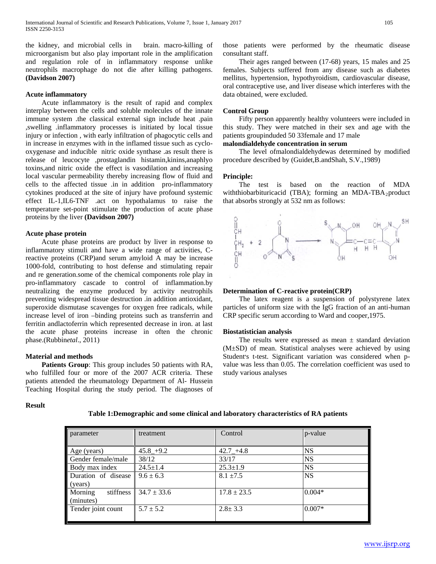the kidney, and microbial cells in brain. macro-killing of microorganism but also play important role in the amplification and regulation role of in inflammatory response unlike neutrophils macrophage do not die after killing pathogens. **(Davidson 2007)**

#### **Acute inflammatory**

 Acute inflammatory is the result of rapid and complex interplay between the cells and soluble molecules of the innate immune system .the classical external sign include heat .pain ,swelling .inflammatory processes is initiated by local tissue injury or infection , with early infiltration of phagocytic cells and in increase in enzymes with in the inflamed tissue such as cyclooxygenase and inducible nitric oxide synthase .as result there is release of leucocyte ,prostaglandin histamin,kinins,anaphlyo toxins,and nitric oxide the effect is vasodilation and increasing local vascular permeability thereby increasing flow of fluid and cells to the affected tissue .in in addition pro-inflammatory cytokines produced at the site of injury have profound systemic effect IL-1,IL6-TNF .act on hypothalamus to raise the temperature set-point stimulate the production of acute phase proteins by the liver **(Davidson 2007)**

#### **Acute phase protein**

 Acute phase proteins are product by liver in response to inflammatory stimuli and have a wide range of activities, Creactive proteins (CRP)and serum amyloid A may be increase 1000-fold, contributing to host defense and stimulating repair and re generation.some of the chemical components role play in pro-inflammatory cascade to control of inflammation.by neutralizing the enzyme produced by activity neutrophils preventing widespread tissue destruction .in addition antioxidant, superoxide dismutase scavenges for oxygen free radicals, while increase level of iron –binding proteins such as transferrin and ferritin andlactoferrin which represented decrease in iron. at last the acute phase proteins increase in often the chronic phase.(Rubbin*etal*., 2011)

# **Material and methods**

 **Patients Group**: This group includes 50 patients with RA, who fulfilled four or more of the 2007 ACR criteria. These patients attended the rheumatology Department of Al- Hussein Teaching Hospital during the study period. The diagnoses of

# **Result**

those patients were performed by the rheumatic disease consultant staff.

 Their ages ranged between (17-68) years, 15 males and 25 females. Subjects suffered from any disease such as diabetes mellitus, hypertension, hypothyroidism, cardiovascular disease, oral contraceptive use, and liver disease which interferes with the data obtained, were excluded.

#### **Control Group**

 Fifty person apparently healthy volunteers were included in this study. They were matched in their sex and age with the patients groupinduded 50 33female and 17 male

# **malondialdehyde concentration in serum**

 The level ofmalondialdehydewas determined by modified procedure described by (Guidet,B.andShah, S.V.,1989)

#### **Principle:**

 The test is based on the reaction of MDA withthiobarbituricacid (TBA); forming an MDA-TBA<sub>2</sub>product that absorbs strongly at 532 nm as follows:



### **Determination of C-reactive protein(CRP)**

 The latex reagent is a suspension of polystyrene latex particles of uniform size with the IgG fraction of an anti-human CRP specific serum according to Ward and cooper,1975.

#### **Biostatistician analysis**

The results were expressed as mean  $\pm$  standard deviation (M±SD) of mean. Statistical analyses were achieved by using Student's t-test. Significant variation was considered when pvalue was less than 0.05. The correlation coefficient was used to study various analyses

| parameter                         | treatment       | Control         | $ p$ -value |
|-----------------------------------|-----------------|-----------------|-------------|
| Age (years)                       | $45.8 + 9.2$    | $42.7 + 4.8$    | <b>NS</b>   |
| Gender female/male                | 38/12           | 33/17           | <b>NS</b>   |
| Body max index                    | $24.5 \pm 1.4$  | $25.3 \pm 1.9$  | <b>NS</b>   |
| Duration of disease<br>(years)    | $9.6 \pm 6.3$   | $8.1 \pm 7.5$   | <b>NS</b>   |
| Morning<br>stiffness<br>(minutes) | $34.7 \pm 33.6$ | $17.8 \pm 23.5$ | $0.004*$    |
| Tender joint count                | $5.7 \pm 5.2$   | $2.8 \pm 3.3$   | $0.007*$    |

**Table 1:Demographic and some clinical and laboratory characteristics of RA patients**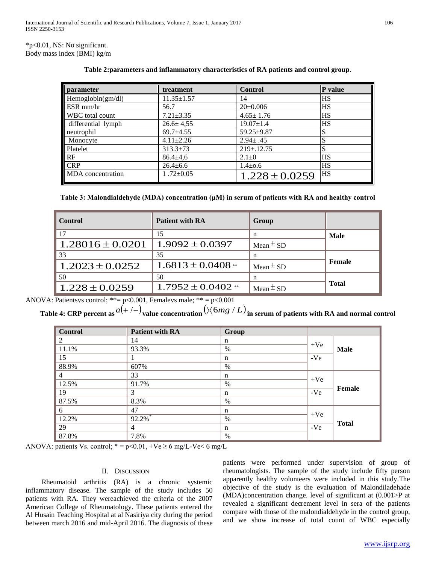\*p<0.01, NS: No significant. Body mass index (BMI) kg/m

| parameter                | treatment        | <b>Control</b>     | P value   |
|--------------------------|------------------|--------------------|-----------|
|                          |                  |                    |           |
| Hemoglobin(gm/dl)        | $11.35 \pm 1.57$ | 14                 | HS        |
| ESR mm/hr                | 56.7             | $20 \pm 0.006$     | <b>HS</b> |
| <b>WBC</b> total count   | $7.21 \pm 3.35$  | $4.65 \pm 1.76$    | <b>HS</b> |
| differential lymph       | $26.6 \pm 4.55$  | $19.07 \pm 1.4$    | <b>HS</b> |
| neutrophil               | $69.7 \pm 4.55$  | $59.25 \pm 9.87$   | S         |
| Monocyte                 | $4.11 \pm 2.26$  | $2.94 \pm .45$     | c<br>O    |
| Platelet                 | $313.3 \pm 73$   | $219 \pm 0.12.75$  | S         |
| <b>RF</b>                | $86.4 \pm 4.6$   | $2.1 \pm 0$        | HS        |
| <b>CRP</b>               | $26.4 \pm 6.6$   | $1.4 \pm 0.6$      | HS        |
| <b>MDA</b> concentration | 1.72 $\pm$ 0.05  | $1.228 \pm 0.0259$ | HS        |

**Table 2:parameters and inflammatory characteristics of RA patients and control group**.

| <b>Control</b>       | <b>Patient with RA</b> | Group         |              |
|----------------------|------------------------|---------------|--------------|
| 17                   | 15                     | n             | Male         |
| $1.28016 \pm 0.0201$ | $1.9092 \pm 0.0397$    | Mean $\pm$ SD |              |
| 33                   | 35                     | n             |              |
| $1.2023 \pm 0.0252$  | $1.6813 \pm 0.0408$ ** | Mean $\pm$ SD | Female       |
| 50                   | 50                     | n             |              |
| $1.228 \pm 0.0259$   | $1.7952 \pm 0.0402$ ** | Mean $\pm$ SD | <b>Total</b> |

ANOVA: Patientsvs control; \*\*=  $p<0.001$ , Femalevs male; \*\* =  $p<0.001$ 

**Table 4: CRP percent as**  $a(+/-)$  value concentration  $(\times 6mg/L)$  in serum of patients with RA and normal control

| <b>Control</b> | <b>Patient with RA</b> | Group |       |               |
|----------------|------------------------|-------|-------|---------------|
| 2              | 14                     | n     |       |               |
| 11.1%          | 93.3%                  | $\%$  | $+Ve$ | <b>Male</b>   |
| 15             |                        | n     | -Ve   |               |
| 88.9%          | 607%                   | %     |       |               |
| $\overline{4}$ | 33                     | n     |       |               |
| 12.5%          | 91.7%                  | $\%$  | $+Ve$ |               |
| 19             | 3                      | n     | -Ve   | <b>Female</b> |
| 87.5%          | 8.3%                   | $\%$  |       |               |
| 6              | 47                     | n     |       |               |
| 12.2%          | 92.2%                  | %     | $+Ve$ |               |
| 29             | 4                      | n     | -Ve   | <b>Total</b>  |
| 87.8%          | 7.8%                   | %     |       |               |

ANOVA: patients Vs. control; \* = p<0.01, +Ve  $\geq 6$  mg/L-Ve< 6 mg/L

# II. DISCUSSION

 Rheumatoid arthritis (RA) is a chronic systemic inflammatory disease. The sample of the study includes 50 patients with RA. They wereachieved the criteria of the 2007 American College of Rheumatology. These patients entered the Al Husain Teaching Hospital at al Nasiriya city during the period between march 2016 and mid-April 2016. The diagnosis of these patients were performed under supervision of group of rheumatologists. The sample of the study include fifty person apparently healthy volunteers were included in this study.The objective of the study is the evaluation of Malondiladehade (MDA)concentration change. level of significant at (0.001>P at revealed a significant decrement level in sera of the patients compare with those of the malondialdehyde in the control group, and we show increase of total count of WBC especially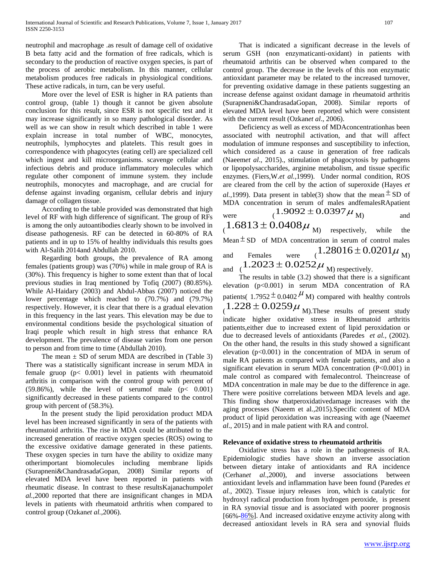neutrophil and macrophage .as result of damage cell of oxidative B beta fatty acid and the formation of free radicals, which is secondary to the production of reactive oxygen species, is part of the process of aerobic metabolism. In this manner, cellular metabolism produces free radicals in physiological conditions. These active radicals, in turn, can be very useful.

 More over the level of ESR is higher in RA patients than control group, (table 1) though it cannot be given absolute conclusion for this result, since ESR is not specific test and it may increase significantly in so many pathological disorder. As well as we can show in result which described in table 1 were explain increase in total number of WBC, monocytes, neutrophils, lymphocytes and platelets. This result goes in correspondence with phagocytes (eating cell) are specialized cell which ingest and kill microorganisms. scavenge cellular and infectious debris and produce inflammatory molecules which regulate other component of immune system. they include neutrophils, monocytes and macrophage, and are crucial for defense against invading organism, cellular debris and injury damage of collagen tissue.

 According to the table provided was demonstrated that high level of RF with high difference of significant. The group of RFs is among the only autoantibodies clearly shown to be involved in disease pathogenesis. RF can be detected in 60-80% of RA patients and in up to 15% of healthy individuals this results goes with Al-Salih 2014and Abdullah 2010.

 Regarding both groups, the prevalence of RA among females (patients group) was (70%) while in male group of RA is (30%). This frequency is higher to some extent than that of local previous studies in Iraq mentioned by Tofiq (2007) (80.85%). While Al-Haidary (2003) and Abdul-Abbas (2007) noticed the lower percentage which reached to (70.7%) and (79.7%) respectively. However, it is clear that there is a gradual elevation in this frequency in the last years. This elevation may be due to environmental conditions beside the psychological situation of Iraqi people which result in high stress that enhance RA development. The prevalence of disease varies from one person to person and from time to time (Abdullah 2010).

The mean  $\pm$  SD of serum MDA are described in (Table 3) There was a statistically significant increase in serum MDA in female gruop (p< 0.001) level in patients with rheumatoid arthritis in comparison with the control group with percent of  $(59.86\%)$ , while the level of serumof male  $(p < 0.001)$ significantly decreased in these patients compared to the control group with percent of (58.3%).

 In the present study the lipid peroxidation product MDA level has been increased significantly in sera of the patients with rheumatoid arthritis. The rise in MDA could be attributed to the increased generation of reactive oxygen species (ROS) owing to the excessive oxidative damage generated in these patients. These oxygen species in turn have the ability to oxidize many otherimportant biomolecules including membrane lipids (Surapneni&ChandrasadaGopan, 2008) Similar reports of elevated MDA level have been reported in patients with rheumatic disease. In contrast to these resultsKajanachumpol*et al.,*2000 reported that there are insignificant changes in MDA levels in patients with rheumatoid arthritis when compared to control group (Ozkan*et al.,*2006).

 That is indicated a significant decrease in the levels of serum GSH (non enzymaticanti-oxidant) in patients with rheumatoid arthritis can be observed when compared to the control group. The decrease in the levels of this non enzymatic antioxidant parameter may be related to the increased turnover, for preventing oxidative damage in these patients suggesting an increase defense against oxidant damage in rheumatoid arthritis (Surapneni&ChandrasadaGopan, 2008). Similar reports of elevated MDA level have been reported which were consistent with the current result (Ozkan*et al*., 2006).

 Deficiency as well as excess of MDAconcentrationhas been associated with neutrophil activation, and that will affect modulation of immune responses and susceptibility to infection, which considered as a cause in generation of free radicals (Naeem*et al*., 2015)., stimulation of phagocytosis by pathogens or lipopolysaccharides, arginine metabolism, and tissue specific enzymes. (Fiers,W.*et al.,*1999). Under normal condition, ROS are cleared from the cell by the action of superoxide (Hayes *et al.*, 1999). Data present in table(3) show that the mean  $\pm$  SD of MDA concentration in serum of males andfemalesRApatient were  $(1.9092 \pm 0.0397 \mu_{\rm M})$  and

 $(1.6813 \pm 0.0408 \mu)$  respectively, while the Mean  $\pm$  SD of MDA concentration in serum of control males and Females were  $(1.28016 \pm 0.0201 \mu_{\rm M})$ 

and  $(1.2023 \pm 0.0252 \mu)_{\text{M}}$  respectively.

 The results in table (3.2) showed that there is a significant elevation (p<0.001) in serum MDA concentration of RA patients(  $1.7952 \pm 0.0402$  M) compared with healthy controls  $(1.228 \pm 0.0259 \mu_{\text{M}})$ . These results of present study indicate higher oxidative stress in Rheumatoid arthritis patients,either due to increased extent of lipid peroxidation or due to decreased levels of antioxidants (Paredes *et al.,* (2002). On the other hand, the results in this study showed a significant elevation  $(p<0.001)$  in the concentration of MDA in serum of male RA patients as compared with female patients, and also a significant elevation in serum MDA concentration (P<0.001) in male control as compared with femalecontrol. Theincrease of MDA concentration in male may be due to the difference in age. There were positive correlations between MDA levels and age. This finding show thatperoxidativedamage increases with the aging processes (Naeem et al.,2015).Specific content of MDA product of lipid peroxidation was increasing with age (Naeem*et al*., 2015) and in male patient with RA and control.

# **Relevance of oxidative stress to rheumatoid arthritis**

 Oxidative stress has a role in the pathogenesis of RA. Epidemiologic studies have shown an inverse association between dietary intake of antioxidants and RA incidence (Cerhan*et al*.*,*2000), and inverse associations between antioxidant levels and inflammation have been found (Paredes *et al.,* 2002). Tissue injury releases iron, which is catalytic for hydroxyl radical production from hydrogen peroxide, is present in RA synovial tissue and is associated with poorer prognosis [66%[-86%](www.ijsrp.org/2286%2286)]. And increased oxidative enzyme activity along with decreased antioxidant levels in RA sera and synovial fluids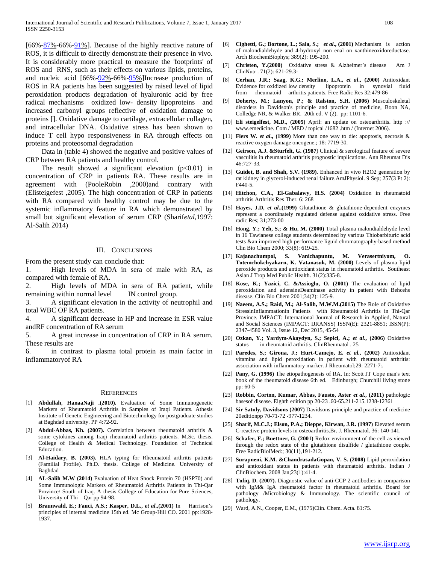$[66\% - 87\% - 66\% - 91\%]$ . Because of the highly reactive nature of ROS, it is difficult to directly demonstrate their presence in vivo. It is considerably more practical to measure the 'footprints' of ROS and RNS, such as their effects on various lipids, proteins, and nucleic acid [66%[-92%](www.ijsrp.org/2292%2292)-66%[-95%](www.ijsrp.org/2295%2295)]Increase production of ROS in RA patients has been suggested by raised level of lipid peroxidation products degradation of hyaluronic acid by free radical mechanisms oxidized low- density lipoproteins and increased carbonyl groups reflective of oxidation damage to proteins []. Oxidative damage to cartilage, extracellular collagen, and intracellular DNA. Oxidative stress has been shown to induce T cell hypo responsiveness in RA through effects on proteins and proteosomal degradation

 Data in (table 4) showed the negative and positive values of CRP between RA patients and healthy control.

The result showed a significant elevation  $(p<0.01)$  in concentration of CRP in patients RA. These results are in agreement with (PooleRobin ,2000)and contrary with (Elisteigefest ,2005). The high concentration of CRP in patients with RA compared with healthy control may be due to the systemic inflammatory feature in RA which demonstrated by small but significant elevation of serum CRP (Sharif*etal*,1997: Al-Salih 2014)

#### III. CONCLUSIONS

From the present study can conclude that:

1. High levels of MDA in sera of male with RA, as compared with female of RA.

2. High levels of MDA in sera of RA patient, while remaining within normal level IN control group.

3. A significant elevation in the activity of neutrophil and total WBC OF RA patients.

4. A significant decrease in HP and increase in ESR value andRF concentration of RA serum

5. A great increase in concentration of CRP in RA serum. These results are

6. in contrast to plasma total protein as main factor in inflammatoryof RA

#### **REFERENCES**

- [1] **Abdullah**, **HanaaNaji .(2010).** Evaluation of Some Immunogenetic Markers of Rheumatoid Arthritis in Samples of Iraqi Patients. Athesis Institute of Genetic Engineering and Biotechnology for postgraduate studies at Baghdad university. PP 4:72-92.
- [2] **Abdul-Abbas, Kh. (2007).** Correlation between rheumatoid arthritis & some cytokines among Iraqi rheumatoid arthritis patients. M.Sc. thesis. College of Health & Medical Technology. Foundation of Technical Education.
- [3] **Al-Haidary, B. (2003).** HLA typing for Rheumatoid arthritis patients (Familial Profile). Ph.D. thesis. College of Medicine. University of Baghdad
- [4] **AL-Salih M.W (2014)** Evaluation of Heat Shock Protein 70 (HSP70) and Some Immunologic Markers of Rheumatoid Arthritis Patients in Thi-Qar Province/ South of Iraq. A thesis College of Education for Pure Sciences, University of Thi – Qar pp 94-98.
- [5] **Braunwald, E.; Fauci, A.S.; Kasper, D.L.,** *et al***.,(2001)** In Harrison's principles of internal medicine 15th ed. Mc Group-Hill CO. 2001 pp:1928- 1937.
- [6] **Cighetti, G.; Bortone, L.; Sala, S.;** *et al***., (2001)** Mechanism is action of malondialdehyde and 4-hydroxyl non enal on xanthineoxidoreductase. Arch BiochemBiophys; 389(2): 195-200.
- [7] **Christen, Y.(2000)** Oxidative stress & Alzheimer's disease Am J ClinNutr . 71(2): 621-29.3-
- [8] **Cerhan, J.R.; Saag, K.G.; Merlino, L.A.,** *et al***., (2000)** Antioxidant Evidence for oxidized low density lipoprotein in synovial fluid from rheumatoid arthritis patients. Free Radic Res 32:479-86
- [9] **Doherty, M.; Lanyon, P.; & Ralston, S.H. (2006)** Musculoskeletal disorders in Davidson's principle and practice of medicine, Boon NA, Colledge NR, & Walker BR. 20th ed. V (2). pp: 1101-6.
- [10] **Eli steigelfest, M.D., (2005)** April: an update on osteoarthritis. http :// www.emedicine. Com / MED / topical /1682 .htm / (Internet 2006).
- [11] **Fiers W.** *et al***., (1999)** More than one way to die: apoptosis, necrosis & reactive oxygen damage oncogene.; 18: 7719-30.
- [12] **Geirson, A.J. &Sturfelt, G. (1987**) Clinical & serological feature of severe vasculitis in rheumatoid arthritis prognostic implications. Ann Rheumat Dis 46:727-33.
- [13] **Guidet, B. and Shah, S.V. (1989)**. Enhanced in vivo H2O2 generation by rat kidney in glycerol-induced renal failure.AmJPhysiol. 9 Sep; 257(3 Pt 2): F440-5.
- [14] **Hitchon, C.A., El-Gabalawy, H.S. (2004)** Oxidation in rheumatoid arthritis Arthritis Res Ther. 6: 268
- [15] **Hayes, J.D,** *et al***.,(1999)** Glutathione & glutathione-dependent enzymes represent a coordinately regulated defense against oxidative stress. Free radic Res; 31;273-00
- [16] **Hong, Y.; Yeh, S.; & Hu, M. (2000)** Total plasma malondialdehyde level in 16 Tawianese college students determined by various Thiobarbituric acid tests &an improved high performance liguid chromatography-based method Clin Bio Chem 2000; 33(8): 619-25.
- [17] **Kajanachumpol, S. Vanichapuntu, M. Verasertniyom, O. Totemchokchyakarn, K. Vatanasuk, M. (2000)** Levels of plasma lipid peroxide products and antioxidant status in rheumatoid arthritis. Southeast Asian J Trop Med Public Health. 31(2):335-8.
- [18] **Kose, K.; Yazici, C. &Assioglu, O. (2001)** The evaluation of lipid peroxidation and adensineDeaminase activity in patient with Behcehs disease. Clin Bio Chem 2001;34(2): 125-9.
- [19] **Naeem, A.S.; Raid, M.; Al-Salih, M.W.M.(2015)** The Role of Oxidative StressinInflammationin Patients with Rheumatoid Arthritis in Thi-Qar Province. IMPACT: International Journal of Research in Applied, Natural and Social Sciences (IMPACT: IJRANSS) ISSN(E): 2321-8851; ISSN(P): 2347-4580 Vol. 3, Issue 12, Dec 2015, 45-54
- [20] **Ozkan, Y.; Yardym-Akaydyn, S.; Sepici, A.;** *et al***., (2006)** Oxidative status in rheumatoid arthritis. ClinRheumatol . 25
- [21] **Paredes, S.; Girona, J.; Hurt-Camejo, E.** *et al.,* **(2002)** Antioxidant vitamins and lipid peroxidation in patient with rheumatoid arthritis: association with inflammatory marker. J Rheumatol;29: 2271-7:.
- [22] **Pany, G. (1996)** The etiopathogenesis of RA. In: Scott JT Cope man's text book of the rheumatoid disease 6th ed. Edinburgh; Churchill living stone pp: 60-5
- [23] **Robbin, Corton, Kumar, Abbas, Fausto, Aster** *et al***., (2011)** pathologic basesof disease. Eighth edition pp 20-23 .60-65.211-215.1238-1236l
- [24] **Sir Satnly, Davidsons (2007)** Davidsons principle and practice of medicine 20editionpp 70-71-72 -977-1234.
- [25] **Sharif, M.C.J.; Elson, P.A.; Dieppe, Kirwan, J.R. (1997**) Elevated serum C-reactive protein levels in osteoarthritis.Br. J. Rheumatol. 36: 140-141.
- [26] **Schafer, F.; Buettner, G. (2001)** Redox environment of the cell as viewed through the redox state of the glutathione disulfide / glutathione couple. Free RadicBiolMed:; 30(11),191-212.
- [27] **Surapneni, K.M. &ChandrasadaGopan, V. S. (2008)** Lipid peroxidation and antioxidant status in patients with rheumatoid arthritis. Indian J ClinBiochem. 2008 Jan;23(1):41-4.
- [28] **Tofiq, D. (2007).** Diagnostic value of anti-CCP 2 antibodies in comparison with IgM& IgA rheumatoid factor in rheumatoid arthritis. Board for pathology /Microbiology & Immunology. The scientific council of pathology.
- [29] Ward, A.N., Cooper, E.M., (1975)Clin. Chem. Acta. 81:75.